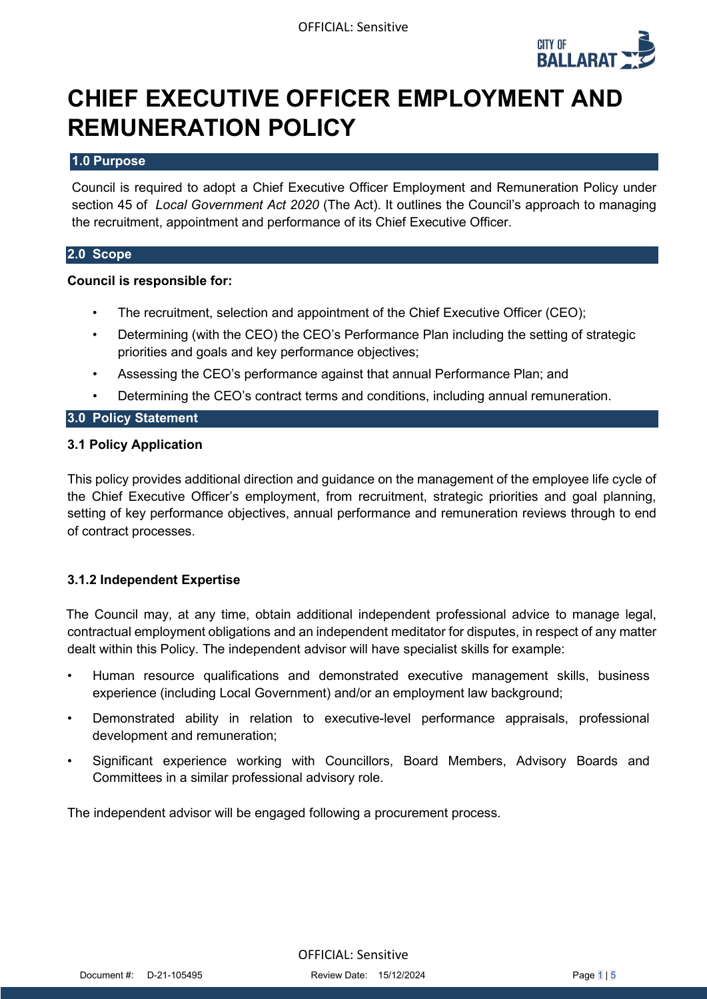

# **CHIEF EXECUTIVE OFFICER EMPLOYMENT AND REMUNERATION POLICY**

#### **1.0 Purpose**

Council is required to adopt a Chief Executive Officer Employment and Remuneration Policy under section 45 of *Local Government Act 2020* (The Act). It outlines the Council's approach to managing the recruitment, appointment and performance of its Chief Executive Officer.

#### **2.0 Scope**

#### **Council is responsible for:**

- The recruitment, selection and appointment of the Chief Executive Officer (CEO);
- Determining (with the CEO) the CEO's Performance Plan including the setting of strategic priorities and goals and key performance objectives;
- Assessing the CEO's performance against that annual Performance Plan; and
- Determining the CEO's contract terms and conditions, including annual remuneration.

#### **3.0 Policy Statement**

#### **3.1 Policy Application**

This policy provides additional direction and guidance on the management of the employee life cycle of the Chief Executive Officer's employment, from recruitment, strategic priorities and goal planning, setting of key performance objectives, annual performance and remuneration reviews through to end of contract processes.

#### **3.1.2 Independent Expertise**

The Council may, at any time, obtain additional independent professional advice to manage legal, contractual employment obligations and an independent meditator for disputes, in respect of any matter dealt within this Policy. The independent advisor will have specialist skills for example:

- Human resource qualifications and demonstrated executive management skills, business experience (including Local Government) and/or an employment law background;
- Demonstrated ability in relation to executive-level performance appraisals, professional development and remuneration;
- Significant experience working with Councillors, Board Members, Advisory Boards and Committees in a similar professional advisory role.

The independent advisor will be engaged following a procurement process.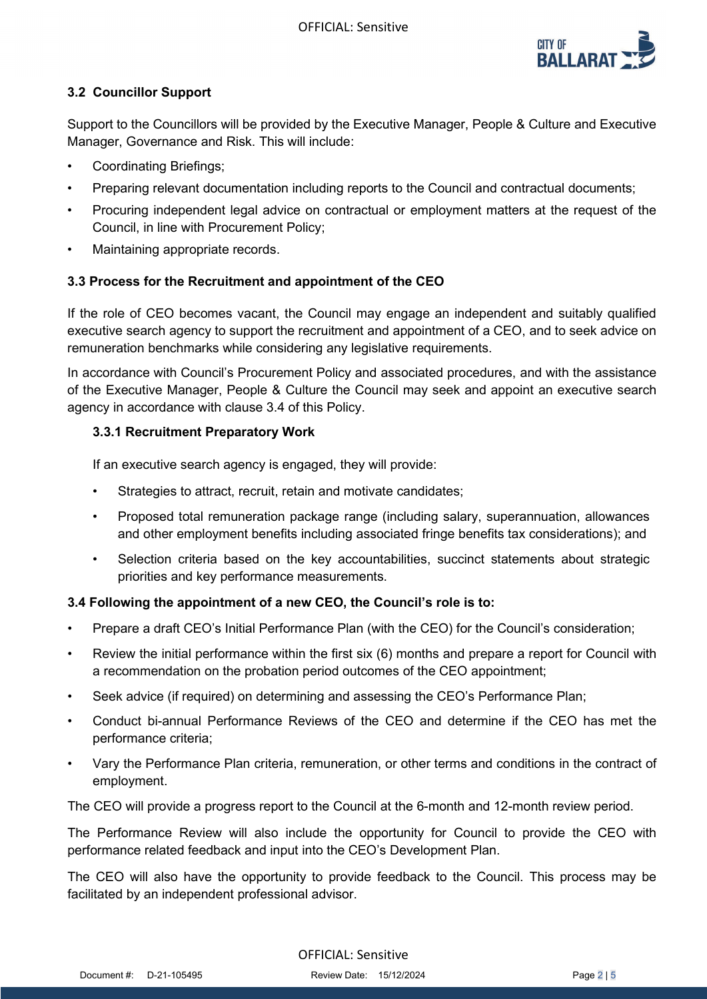

# **3.2 Councillor Support**

Support to the Councillors will be provided by the Executive Manager, People & Culture and Executive Manager, Governance and Risk. This will include:

- Coordinating Briefings;
- Preparing relevant documentation including reports to the Council and contractual documents;
- Procuring independent legal advice on contractual or employment matters at the request of the Council, in line with Procurement Policy;
- Maintaining appropriate records.

## **3.3 Process for the Recruitment and appointment of the CEO**

If the role of CEO becomes vacant, the Council may engage an independent and suitably qualified executive search agency to support the recruitment and appointment of a CEO, and to seek advice on remuneration benchmarks while considering any legislative requirements.

In accordance with Council's Procurement Policy and associated procedures, and with the assistance of the Executive Manager, People & Culture the Council may seek and appoint an executive search agency in accordance with clause 3.4 of this Policy.

## **3.3.1 Recruitment Preparatory Work**

If an executive search agency is engaged, they will provide:

- Strategies to attract, recruit, retain and motivate candidates;
- Proposed total remuneration package range (including salary, superannuation, allowances and other employment benefits including associated fringe benefits tax considerations); and
- Selection criteria based on the key accountabilities, succinct statements about strategic priorities and key performance measurements.

# **3.4 Following the appointment of a new CEO, the Council's role is to:**

- Prepare a draft CEO's Initial Performance Plan (with the CEO) for the Council's consideration;
- Review the initial performance within the first six (6) months and prepare a report for Council with a recommendation on the probation period outcomes of the CEO appointment;
- Seek advice (if required) on determining and assessing the CEO's Performance Plan;
- Conduct bi-annual Performance Reviews of the CEO and determine if the CEO has met the performance criteria;
- Vary the Performance Plan criteria, remuneration, or other terms and conditions in the contract of employment.

The CEO will provide a progress report to the Council at the 6-month and 12-month review period.

The Performance Review will also include the opportunity for Council to provide the CEO with performance related feedback and input into the CEO's Development Plan.

The CEO will also have the opportunity to provide feedback to the Council. This process may be facilitated by an independent professional advisor.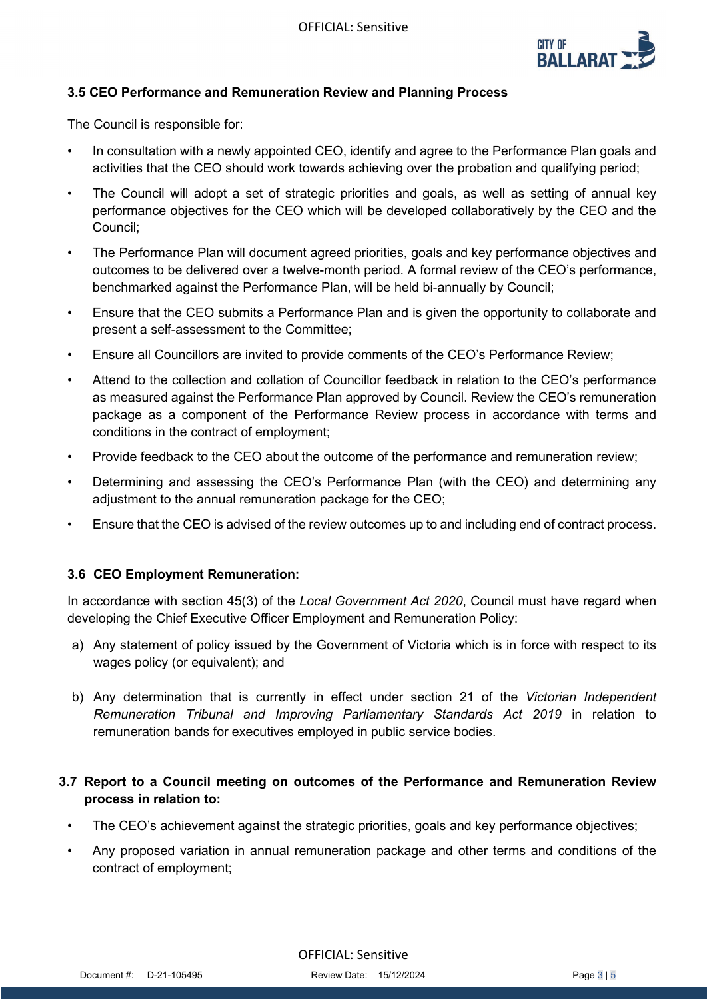

# **3.5 CEO Performance and Remuneration Review and Planning Process**

The Council is responsible for:

- In consultation with a newly appointed CEO, identify and agree to the Performance Plan goals and activities that the CEO should work towards achieving over the probation and qualifying period;
- The Council will adopt a set of strategic priorities and goals, as well as setting of annual key performance objectives for the CEO which will be developed collaboratively by the CEO and the Council;
- The Performance Plan will document agreed priorities, goals and key performance objectives and outcomes to be delivered over a twelve-month period. A formal review of the CEO's performance, benchmarked against the Performance Plan, will be held bi-annually by Council;
- Ensure that the CEO submits a Performance Plan and is given the opportunity to collaborate and present a self-assessment to the Committee;
- Ensure all Councillors are invited to provide comments of the CEO's Performance Review;
- Attend to the collection and collation of Councillor feedback in relation to the CEO's performance as measured against the Performance Plan approved by Council. Review the CEO's remuneration package as a component of the Performance Review process in accordance with terms and conditions in the contract of employment;
- Provide feedback to the CEO about the outcome of the performance and remuneration review;
- Determining and assessing the CEO's Performance Plan (with the CEO) and determining any adjustment to the annual remuneration package for the CEO;
- Ensure that the CEO is advised of the review outcomes up to and including end of contract process.

#### **3.6 CEO Employment Remuneration:**

In accordance with section 45(3) of the *Local Government Act 2020*, Council must have regard when developing the Chief Executive Officer Employment and Remuneration Policy:

- a) Any statement of policy issued by the Government of Victoria which is in force with respect to its wages policy (or equivalent); and
- b) Any determination that is currently in effect under section 21 of the *Victorian Independent Remuneration Tribunal and Improving Parliamentary Standards Act 2019* in relation to remuneration bands for executives employed in public service bodies.

# **3.7 Report to a Council meeting on outcomes of the Performance and Remuneration Review process in relation to:**

- The CEO's achievement against the strategic priorities, goals and key performance objectives;
- Any proposed variation in annual remuneration package and other terms and conditions of the contract of employment;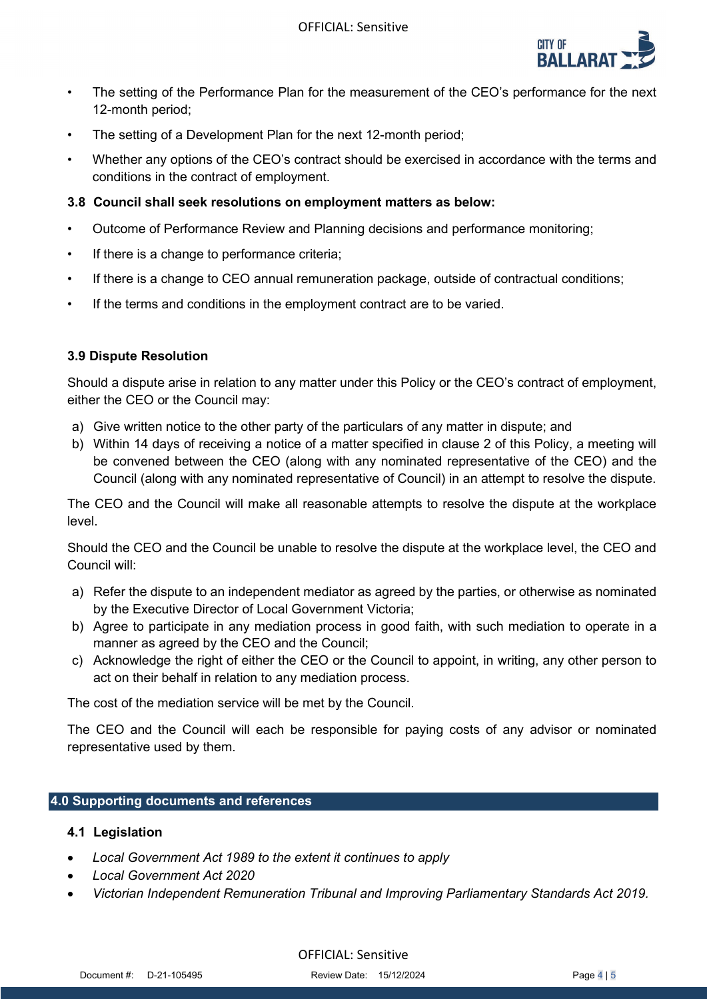

- The setting of the Performance Plan for the measurement of the CEO's performance for the next 12-month period;
- The setting of a Development Plan for the next 12-month period;
- Whether any options of the CEO's contract should be exercised in accordance with the terms and conditions in the contract of employment.

### **3.8 Council shall seek resolutions on employment matters as below:**

- Outcome of Performance Review and Planning decisions and performance monitoring;
- If there is a change to performance criteria;
- If there is a change to CEO annual remuneration package, outside of contractual conditions;
- If the terms and conditions in the employment contract are to be varied.

## **3.9 Dispute Resolution**

Should a dispute arise in relation to any matter under this Policy or the CEO's contract of employment, either the CEO or the Council may:

- a) Give written notice to the other party of the particulars of any matter in dispute; and
- b) Within 14 days of receiving a notice of a matter specified in clause 2 of this Policy, a meeting will be convened between the CEO (along with any nominated representative of the CEO) and the Council (along with any nominated representative of Council) in an attempt to resolve the dispute.

The CEO and the Council will make all reasonable attempts to resolve the dispute at the workplace level.

Should the CEO and the Council be unable to resolve the dispute at the workplace level, the CEO and Council will:

- a) Refer the dispute to an independent mediator as agreed by the parties, or otherwise as nominated by the Executive Director of Local Government Victoria;
- b) Agree to participate in any mediation process in good faith, with such mediation to operate in a manner as agreed by the CEO and the Council;
- c) Acknowledge the right of either the CEO or the Council to appoint, in writing, any other person to act on their behalf in relation to any mediation process.

The cost of the mediation service will be met by the Council.

The CEO and the Council will each be responsible for paying costs of any advisor or nominated representative used by them.

#### **4.0 Supporting documents and references**

#### **4.1 Legislation**

- *Local Government Act 1989 to the extent it continues to apply*
- *Local Government Act 2020*
- *Victorian Independent Remuneration Tribunal and Improving Parliamentary Standards Act 2019.*